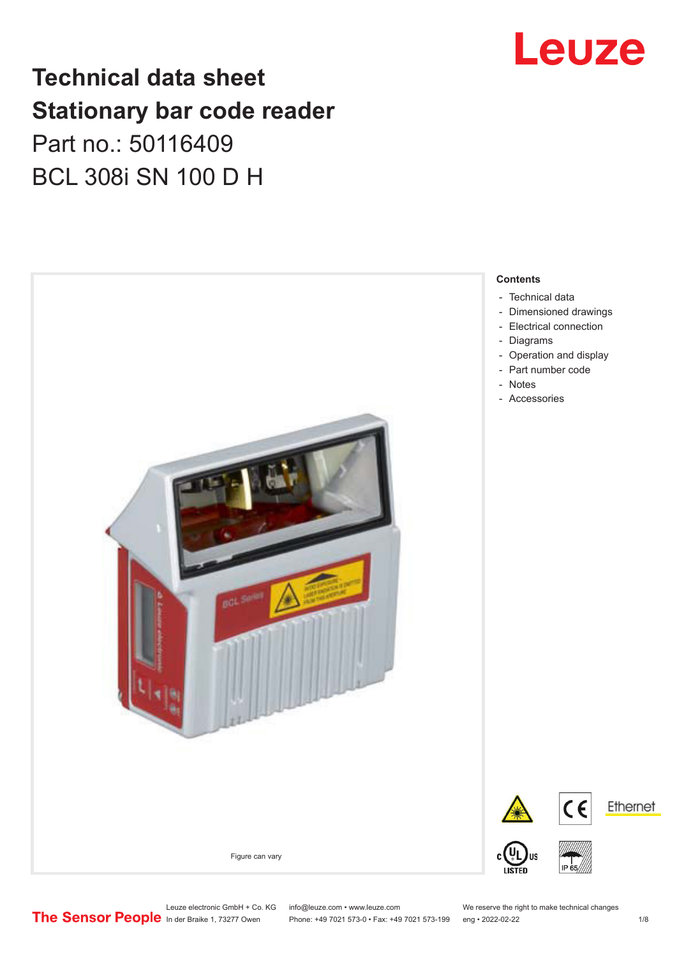# **Technical data sheet Stationary bar code reader** Part no.: 50116409 BCL 308i SN 100 D H



# Leuze

- [Dimensioned drawings](#page-2-0)
- [Electrical connection](#page-3-0)
- [Operation and display](#page-3-0)
- 

Phone: +49 7021 573-0 • Fax: +49 7021 573-199 eng • 2022-02-22 1 2022-02-22

Leuze electronic GmbH + Co. KG info@leuze.com • www.leuze.com We reserve the right to make technical changes<br>
The Sensor People in der Braike 1, 73277 Owen Phone: +49 7021 573-0 • Fax: +49 7021 573-199 eng • 2022-02-22

Ethernet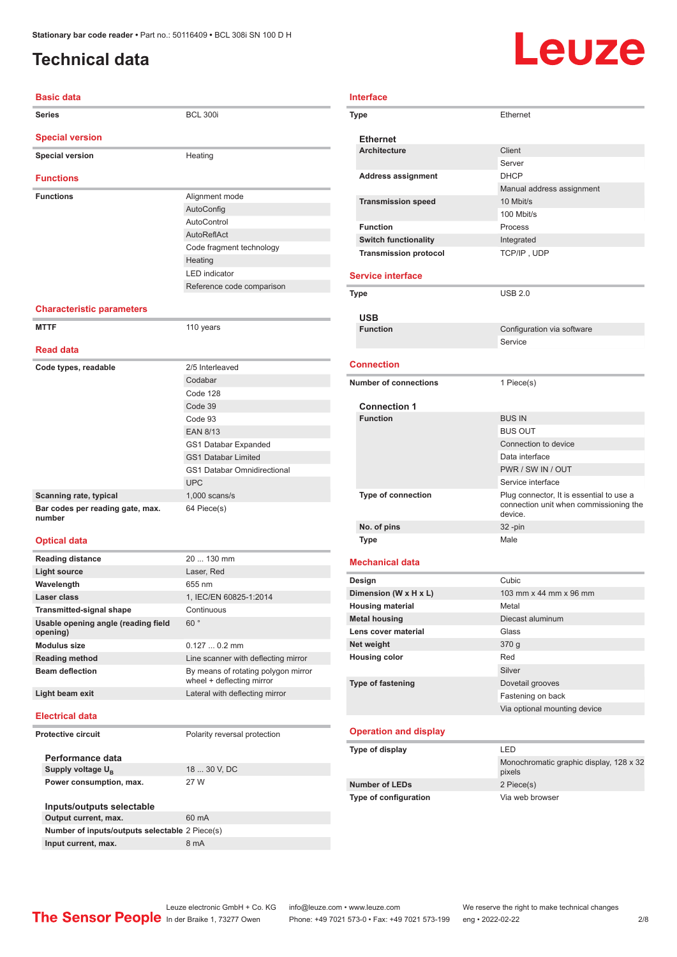## <span id="page-1-0"></span>**Technical data**

# Leuze

| <b>Basic data</b>                |                           |
|----------------------------------|---------------------------|
| <b>Series</b>                    | <b>BCL 300i</b>           |
| <b>Special version</b>           |                           |
| <b>Special version</b>           | Heating                   |
| <b>Functions</b>                 |                           |
| <b>Functions</b>                 | Alignment mode            |
|                                  | AutoConfig                |
|                                  | AutoControl               |
|                                  | AutoReflAct               |
|                                  | Code fragment technology  |
|                                  | Heating                   |
|                                  | <b>LED</b> indicator      |
|                                  | Reference code comparison |
| <b>Characteristic parameters</b> |                           |

#### **MTTF** 110 years **Read data Code types, readable** 2/5 Interleaved Codabar Code 128 Code 39 Code 93 EAN 8/13 GS1 Databar Expanded GS1 Databar Limited GS1 Databar Omnidirectional UPC **Scanning rate, typical** 1,000 scans/s **Bar codes per reading gate, max. number** 64 Piece(s)

#### **Optical data**

| <b>Reading distance</b>                         | $20130$ mm                                                       |
|-------------------------------------------------|------------------------------------------------------------------|
| Light source                                    | Laser, Red                                                       |
| Wavelength                                      | 655 nm                                                           |
| Laser class                                     | 1, IEC/EN 60825-1:2014                                           |
| <b>Transmitted-signal shape</b>                 | Continuous                                                       |
| Usable opening angle (reading field<br>opening) | 60°                                                              |
| <b>Modulus size</b>                             | $0.1270.2$ mm                                                    |
| <b>Reading method</b>                           | Line scanner with deflecting mirror                              |
| <b>Beam deflection</b>                          | By means of rotating polygon mirror<br>wheel + deflecting mirror |
| Light beam exit                                 | Lateral with deflecting mirror                                   |
| <b>Electrical data</b>                          |                                                                  |
| <b>Protective circuit</b>                       | Polarity reversal protection                                     |
| Performance data                                |                                                                  |
| Supply voltage U <sub>B</sub>                   | 18  30 V, DC                                                     |

**Inputs/outputs selectable Output current, max.** 60 mA **Number of inputs/outputs selectable** 2 Piece(s) **Input current, max.** 8 mA

**Power consumption, max.** 27 W

| <b>Interface</b>  |                                        |                                                                                               |
|-------------------|----------------------------------------|-----------------------------------------------------------------------------------------------|
|                   | <b>Type</b>                            | Ethernet                                                                                      |
|                   | <b>Ethernet</b>                        |                                                                                               |
|                   | <b>Architecture</b>                    | Client                                                                                        |
|                   |                                        | Server                                                                                        |
|                   | <b>Address assignment</b>              | <b>DHCP</b>                                                                                   |
|                   |                                        | Manual address assignment                                                                     |
|                   | <b>Transmission speed</b>              | 10 Mbit/s                                                                                     |
|                   |                                        | 100 Mbit/s                                                                                    |
|                   | <b>Function</b>                        | Process                                                                                       |
|                   | <b>Switch functionality</b>            | Integrated                                                                                    |
|                   | <b>Transmission protocol</b>           | TCP/IP, UDP                                                                                   |
|                   | <b>Service interface</b>               |                                                                                               |
|                   | Type                                   | <b>USB 2.0</b>                                                                                |
|                   |                                        |                                                                                               |
|                   | <b>USB</b>                             |                                                                                               |
|                   | <b>Function</b>                        | Configuration via software<br>Service                                                         |
|                   |                                        |                                                                                               |
| <b>Connection</b> |                                        |                                                                                               |
|                   | <b>Number of connections</b>           | 1 Piece(s)                                                                                    |
|                   |                                        |                                                                                               |
|                   | <b>Connection 1</b><br><b>Function</b> | <b>BUS IN</b>                                                                                 |
|                   |                                        | <b>BUS OUT</b>                                                                                |
|                   |                                        | Connection to device                                                                          |
|                   |                                        | Data interface                                                                                |
|                   |                                        | PWR / SW IN / OUT                                                                             |
|                   |                                        | Service interface                                                                             |
|                   | <b>Type of connection</b>              | Plug connector, It is essential to use a<br>connection unit when commissioning the<br>device. |
|                   | No. of pins                            | 32-pin                                                                                        |
|                   | <b>Type</b>                            | Male                                                                                          |
|                   | <b>Mechanical data</b>                 |                                                                                               |
|                   | Design                                 | Cubic                                                                                         |
|                   | Dimension (W x H x L)                  | 103 mm x 44 mm x 96 mm                                                                        |
|                   | <b>Housing material</b>                | Metal                                                                                         |
|                   | <b>Metal housing</b>                   | Diecast aluminum                                                                              |
|                   | Lens cover material                    | Glass                                                                                         |
|                   | Net weight                             | 370 g                                                                                         |
|                   | <b>Housing color</b>                   | Red                                                                                           |
|                   |                                        | Silver                                                                                        |
|                   | Type of fastening                      | Dovetail grooves                                                                              |

#### **Operation and display**

| Type of display              | I FD                                              |
|------------------------------|---------------------------------------------------|
|                              | Monochromatic graphic display, 128 x 32<br>pixels |
| <b>Number of LEDs</b>        | 2 Piece(s)                                        |
| <b>Type of configuration</b> | Via web browser                                   |

Fastening on back Via optional mounting device

Leuze electronic GmbH + Co. KG info@leuze.com • www.leuze.com We reserve the right to make technical changes<br>
The Sensor People in der Braike 1, 73277 Owen Phone: +49 7021 573-0 • Fax: +49 7021 573-199 eng • 2022-02-22

Phone: +49 7021 573-0 • Fax: +49 7021 573-199 eng • 2022-02-22 2 2/8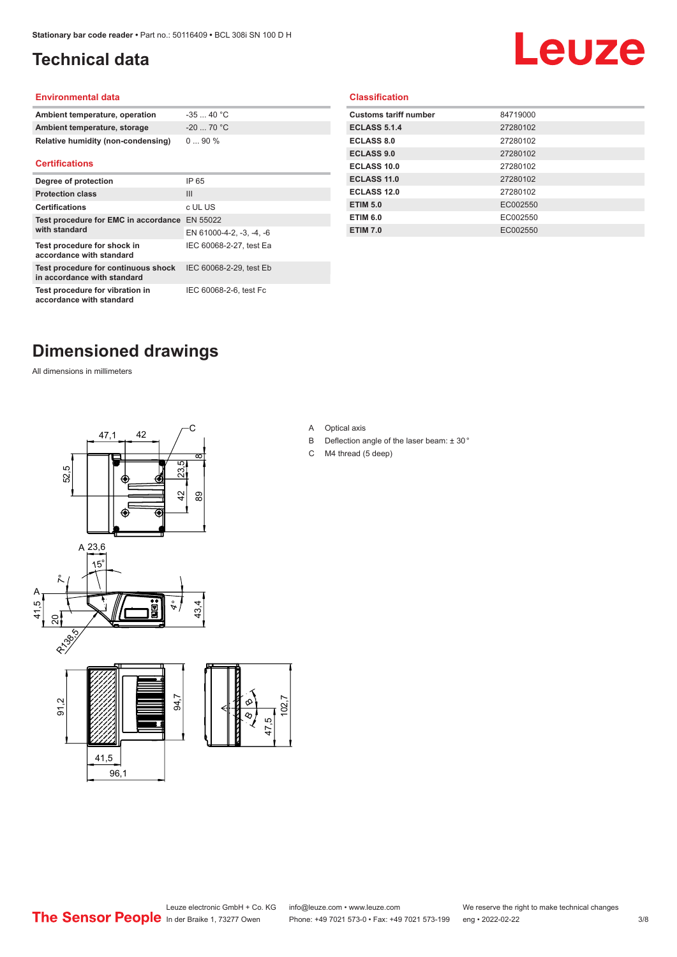# <span id="page-2-0"></span>**Technical data**

# Leuze

#### **Environmental data**

| Ambient temperature, operation     | $-3540 °C$  |
|------------------------------------|-------------|
| Ambient temperature, storage       | $-20$ 70 °C |
| Relative humidity (non-condensing) | $090\%$     |

#### **Certifications**

| Degree of protection                                               | IP 65                    |
|--------------------------------------------------------------------|--------------------------|
| <b>Protection class</b>                                            | Ш                        |
| <b>Certifications</b>                                              | c UL US                  |
| Test procedure for EMC in accordance EN 55022<br>with standard     |                          |
|                                                                    | EN 61000-4-2, -3, -4, -6 |
| Test procedure for shock in<br>accordance with standard            | IEC 60068-2-27, test Ea  |
| Test procedure for continuous shock<br>in accordance with standard | IEC 60068-2-29, test Eb  |
| Test procedure for vibration in<br>accordance with standard        | IEC 60068-2-6, test Fc   |

#### **Classification**

| <b>Customs tariff number</b> | 84719000 |
|------------------------------|----------|
| <b>ECLASS 5.1.4</b>          | 27280102 |
| <b>ECLASS 8.0</b>            | 27280102 |
| <b>ECLASS 9.0</b>            | 27280102 |
| ECLASS 10.0                  | 27280102 |
| <b>ECLASS 11.0</b>           | 27280102 |
| ECLASS 12.0                  | 27280102 |
| <b>ETIM 5.0</b>              | EC002550 |
| <b>ETIM 6.0</b>              | EC002550 |
| <b>ETIM 7.0</b>              | EC002550 |
|                              |          |

# **Dimensioned drawings**

All dimensions in millimeters



A Optical axis

 $\overline{8}$ 

- B Deflection angle of the laser beam: ± 30 °
- C M4 thread (5 deep)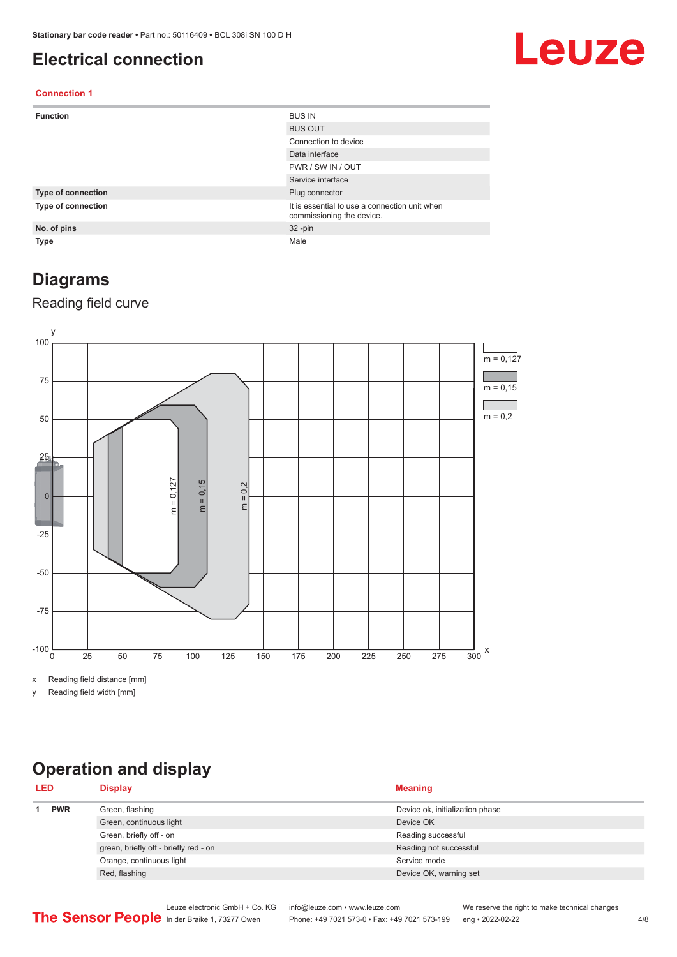## <span id="page-3-0"></span>**Electrical connection**

# Leuze

#### **Connection 1**

| <b>Function</b>    | <b>BUS IN</b>                                                              |
|--------------------|----------------------------------------------------------------------------|
|                    | <b>BUS OUT</b>                                                             |
|                    | Connection to device                                                       |
|                    | Data interface                                                             |
|                    | PWR / SW IN / OUT                                                          |
|                    | Service interface                                                          |
| Type of connection | Plug connector                                                             |
| Type of connection | It is essential to use a connection unit when<br>commissioning the device. |
| No. of pins        | $32 - pin$                                                                 |
| <b>Type</b>        | Male                                                                       |

## **Diagrams**

### Reading field curve



x Reading field distance [mm]

y Reading field width [mm]

# **Operation and display**

| <b>PWR</b><br>Green, flashing<br>Device ok, initialization phase<br>Green, continuous light<br>Device OK | <b>LED</b> | <b>Display</b>          | <b>Meaning</b>     |
|----------------------------------------------------------------------------------------------------------|------------|-------------------------|--------------------|
|                                                                                                          |            |                         |                    |
|                                                                                                          |            |                         |                    |
|                                                                                                          |            | Green, briefly off - on | Reading successful |
| green, briefly off - briefly red - on<br>Reading not successful                                          |            |                         |                    |
| Orange, continuous light<br>Service mode                                                                 |            |                         |                    |
| Red, flashing<br>Device OK, warning set                                                                  |            |                         |                    |

Leuze electronic GmbH + Co. KG info@leuze.com • www.leuze.com We reserve the right to make technical changes<br>
The Sensor People in der Braike 1, 73277 Owen Phone: +49 7021 573-0 • Fax: +49 7021 573-199 eng • 2022-02-22 Phone: +49 7021 573-0 • Fax: +49 7021 573-199 eng • 2022-02-22 4/8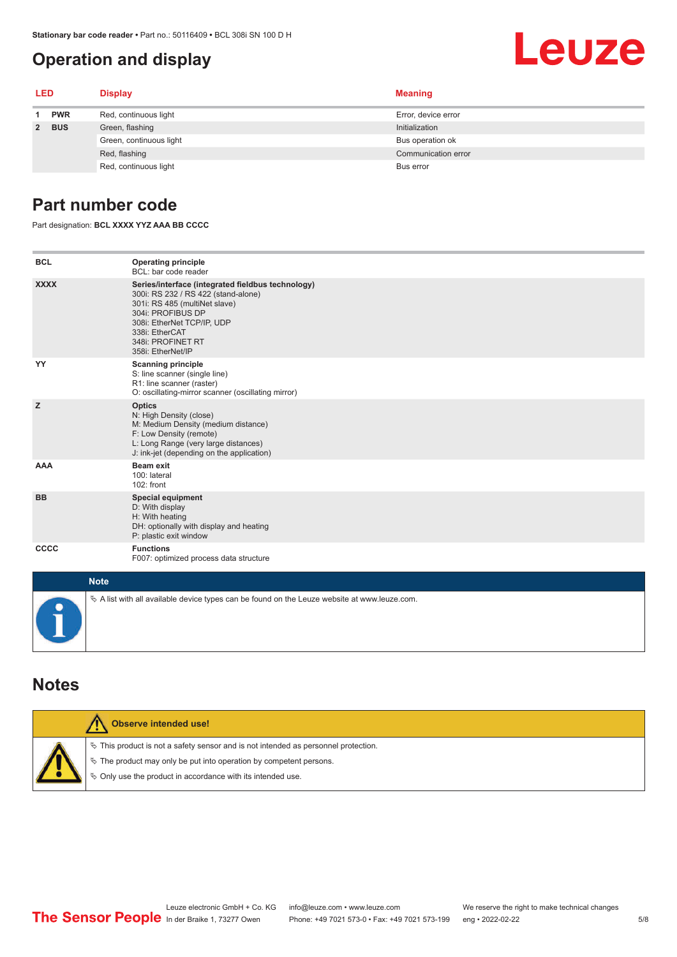## <span id="page-4-0"></span>**Operation and display**

#### **LED Display Meaning 1 PWR** Red, continuous light **Error**, device error **2 BUS** Green, flashing **Initialization** Initialization Green, continuous light **Bus operation of** Bus operation ok Red, flashing **Communication error** communication error communication error communication error Red, continuous light Bus error

## **Part number code**

Part designation: **BCL XXXX YYZ AAA BB CCCC**

| <b>BCL</b>  | <b>Operating principle</b><br>BCL: bar code reader                                                                                                                                                                                       |
|-------------|------------------------------------------------------------------------------------------------------------------------------------------------------------------------------------------------------------------------------------------|
| <b>XXXX</b> | Series/interface (integrated fieldbus technology)<br>300i: RS 232 / RS 422 (stand-alone)<br>301i: RS 485 (multiNet slave)<br>304i: PROFIBUS DP<br>308i: EtherNet TCP/IP, UDP<br>338i: EtherCAT<br>348i: PROFINET RT<br>358i: EtherNet/IP |
| YY          | <b>Scanning principle</b><br>S: line scanner (single line)<br>R1: line scanner (raster)<br>O: oscillating-mirror scanner (oscillating mirror)                                                                                            |
| z           | <b>Optics</b><br>N: High Density (close)<br>M: Medium Density (medium distance)<br>F: Low Density (remote)<br>L: Long Range (very large distances)<br>J: ink-jet (depending on the application)                                          |
| <b>AAA</b>  | <b>Beam exit</b><br>100: lateral<br>102: front                                                                                                                                                                                           |
| <b>BB</b>   | <b>Special equipment</b><br>D: With display<br>H: With heating<br>DH: optionally with display and heating<br>P: plastic exit window                                                                                                      |
| CCCC        | <b>Functions</b><br>F007: optimized process data structure                                                                                                                                                                               |
| <b>Note</b> |                                                                                                                                                                                                                                          |
|             | A list with all available device types can be found on the Leuze website at www.leuze.com.                                                                                                                                               |

### **Notes**

| Observe intended use!                                                                                                                                                                                                              |
|------------------------------------------------------------------------------------------------------------------------------------------------------------------------------------------------------------------------------------|
| $\%$ This product is not a safety sensor and is not intended as personnel protection.<br>$\%$ The product may only be put into operation by competent persons.<br>$\phi$ Only use the product in accordance with its intended use. |

Leuze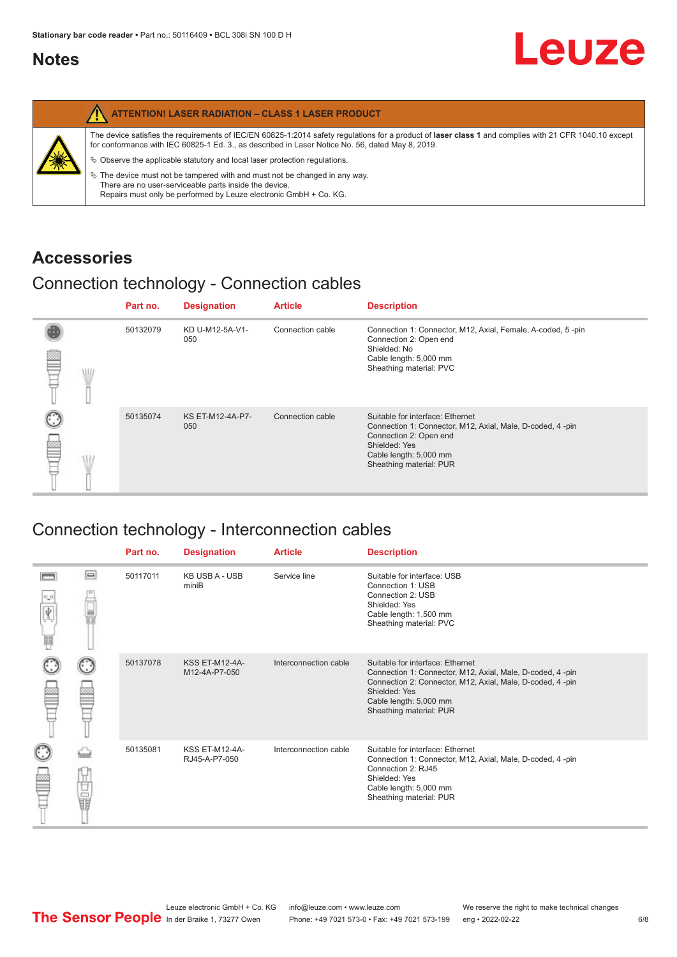## <span id="page-5-0"></span>**Notes**

|   | <b>ATTENTION! LASER RADIATION - CLASS 1 LASER PRODUCT</b>                                                                                                                                                                                                                                                                                                                                                                                                                                                                                                   |
|---|-------------------------------------------------------------------------------------------------------------------------------------------------------------------------------------------------------------------------------------------------------------------------------------------------------------------------------------------------------------------------------------------------------------------------------------------------------------------------------------------------------------------------------------------------------------|
| 纂 | The device satisfies the requirements of IEC/EN 60825-1:2014 safety regulations for a product of laser class 1 and complies with 21 CFR 1040.10 except<br>for conformance with IEC 60825-1 Ed. 3., as described in Laser Notice No. 56, dated May 8, 2019.<br>$\%$ Observe the applicable statutory and local laser protection regulations.<br>$\%$ The device must not be tampered with and must not be changed in any way.<br>There are no user-serviceable parts inside the device.<br>Repairs must only be performed by Leuze electronic GmbH + Co. KG. |

## **Accessories**

## Connection technology - Connection cables

|   |   | Part no. | <b>Designation</b>      | <b>Article</b>   | <b>Description</b>                                                                                                                                                                            |
|---|---|----------|-------------------------|------------------|-----------------------------------------------------------------------------------------------------------------------------------------------------------------------------------------------|
| ≌ | W | 50132079 | KD U-M12-5A-V1-<br>050  | Connection cable | Connection 1: Connector, M12, Axial, Female, A-coded, 5-pin<br>Connection 2: Open end<br>Shielded: No<br>Cable length: 5,000 mm<br>Sheathing material: PVC                                    |
|   |   | 50135074 | KS ET-M12-4A-P7-<br>050 | Connection cable | Suitable for interface: Ethernet<br>Connection 1: Connector, M12, Axial, Male, D-coded, 4-pin<br>Connection 2: Open end<br>Shielded: Yes<br>Cable length: 5,000 mm<br>Sheathing material: PUR |

# Connection technology - Interconnection cables

|   |     | Part no. | <b>Designation</b>                     | <b>Article</b>        | <b>Description</b>                                                                                                                                                                                                               |
|---|-----|----------|----------------------------------------|-----------------------|----------------------------------------------------------------------------------------------------------------------------------------------------------------------------------------------------------------------------------|
| Ħ | e   | 50117011 | <b>KB USB A - USB</b><br>miniB         | Service line          | Suitable for interface: USB<br>Connection 1: USB<br>Connection 2: USB<br>Shielded: Yes<br>Cable length: 1,500 mm<br>Sheathing material: PVC                                                                                      |
|   |     | 50137078 | <b>KSS ET-M12-4A-</b><br>M12-4A-P7-050 | Interconnection cable | Suitable for interface: Ethernet<br>Connection 1: Connector, M12, Axial, Male, D-coded, 4-pin<br>Connection 2: Connector, M12, Axial, Male, D-coded, 4-pin<br>Shielded: Yes<br>Cable length: 5,000 mm<br>Sheathing material: PUR |
|   | the | 50135081 | <b>KSS ET-M12-4A-</b><br>RJ45-A-P7-050 | Interconnection cable | Suitable for interface: Ethernet<br>Connection 1: Connector, M12, Axial, Male, D-coded, 4-pin<br>Connection 2: RJ45<br>Shielded: Yes<br>Cable length: 5,000 mm<br>Sheathing material: PUR                                        |

Leuze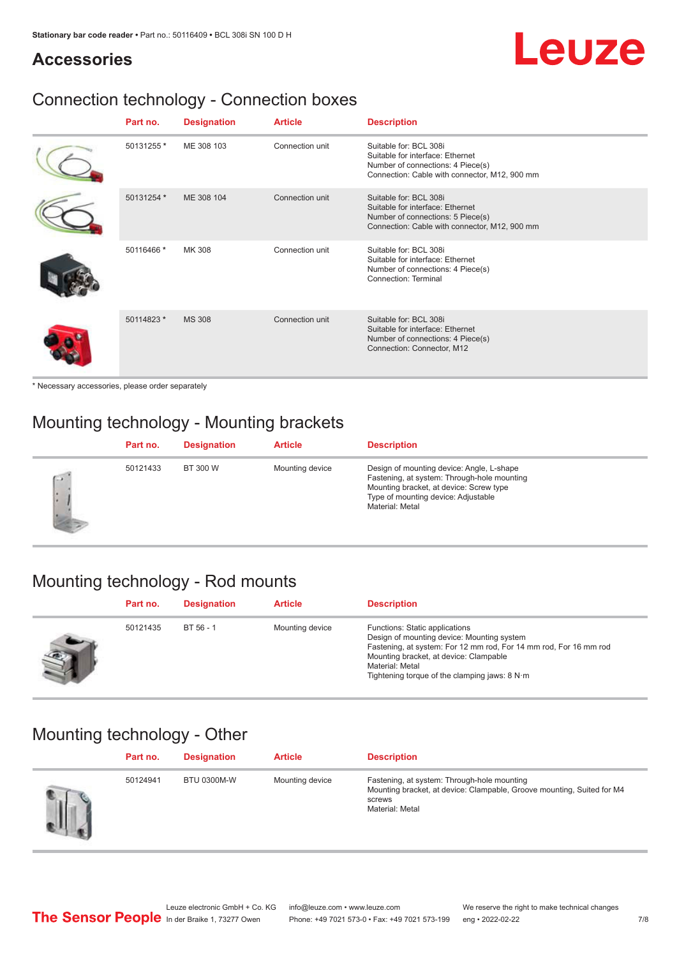# Leuze

## **Accessories**

# Connection technology - Connection boxes

| Part no.   | <b>Designation</b> | <b>Article</b>  | <b>Description</b>                                                                                                                               |
|------------|--------------------|-----------------|--------------------------------------------------------------------------------------------------------------------------------------------------|
| 50131255 * | ME 308 103         | Connection unit | Suitable for: BCL 308i<br>Suitable for interface: Ethernet<br>Number of connections: 4 Piece(s)<br>Connection: Cable with connector, M12, 900 mm |
| 50131254 * | ME 308 104         | Connection unit | Suitable for: BCL 308i<br>Suitable for interface: Ethernet<br>Number of connections: 5 Piece(s)<br>Connection: Cable with connector, M12, 900 mm |
| 50116466 * | MK 308             | Connection unit | Suitable for: BCL 308i<br>Suitable for interface: Ethernet<br>Number of connections: 4 Piece(s)<br>Connection: Terminal                          |
| 50114823 * | <b>MS 308</b>      | Connection unit | Suitable for: BCL 308i<br>Suitable for interface: Ethernet<br>Number of connections: 4 Piece(s)<br>Connection: Connector, M12                    |

\* Necessary accessories, please order separately

# Mounting technology - Mounting brackets

|        | Part no. | <b>Designation</b> | <b>Article</b>  | <b>Description</b>                                                                                                                                                                            |
|--------|----------|--------------------|-----------------|-----------------------------------------------------------------------------------------------------------------------------------------------------------------------------------------------|
| $\sim$ | 50121433 | BT 300 W           | Mounting device | Design of mounting device: Angle, L-shape<br>Fastening, at system: Through-hole mounting<br>Mounting bracket, at device: Screw type<br>Type of mounting device: Adjustable<br>Material: Metal |

## Mounting technology - Rod mounts

| Part no. | <b>Designation</b> | <b>Article</b>  | <b>Description</b>                                                                                                                                                                                                                                                |
|----------|--------------------|-----------------|-------------------------------------------------------------------------------------------------------------------------------------------------------------------------------------------------------------------------------------------------------------------|
| 50121435 | $BT 56 - 1$        | Mounting device | Functions: Static applications<br>Design of mounting device: Mounting system<br>Fastening, at system: For 12 mm rod, For 14 mm rod, For 16 mm rod<br>Mounting bracket, at device: Clampable<br>Material: Metal<br>Tightening torque of the clamping jaws: $8 N·m$ |

## Mounting technology - Other

| Part no. | <b>Designation</b> | <b>Article</b>  | <b>Description</b>                                                                                                                                 |
|----------|--------------------|-----------------|----------------------------------------------------------------------------------------------------------------------------------------------------|
| 50124941 | <b>BTU 0300M-W</b> | Mounting device | Fastening, at system: Through-hole mounting<br>Mounting bracket, at device: Clampable, Groove mounting, Suited for M4<br>screws<br>Material: Metal |